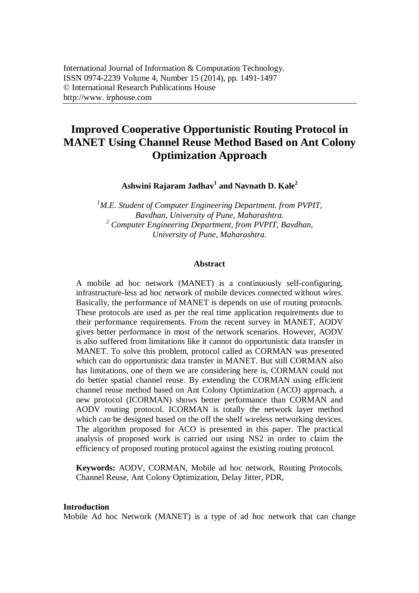# **Improved Cooperative Opportunistic Routing Protocol in MANET Using Channel Reuse Method Based on Ant Colony Optimization Approach**

**Ashwini Rajaram Jadhav<sup>1</sup> and Navnath D. Kale<sup>2</sup>**

*<sup>1</sup>M.E. Student of Computer Engineering Department. from PVPIT, Bavdhan, University of Pune, Maharashtra. <sup>2</sup> Computer Engineering Department, from PVPIT, Bavdhan, University of Pune, Maharashtra.*

#### **Abstract**

A mobile ad hoc network (MANET) is a continuously self-configuring, infrastructure-less ad hoc network of mobile devices connected without wires. Basically, the performance of MANET is depends on use of routing protocols. These protocols are used as per the real time application requirements due to their performance requirements. From the recent survey in MANET, AODV gives better performance in most of the network scenarios. However, AODV is also suffered from limitations like it cannot do opportunistic data transfer in MANET. To solve this problem, protocol called as CORMAN was presented which can do opportunistic data transfer in MANET. But still CORMAN also has limitations, one of them we are considering here is, CORMAN could not do better spatial channel reuse. By extending the CORMAN using efficient channel reuse method based on Ant Colony Optimization (ACO) approach, a new protocol (ICORMAN) shows better performance than CORMAN and AODV routing protocol. ICORMAN is totally the network layer method which can be designed based on the off the shelf wireless networking devices. The algorithm proposed for ACO is presented in this paper. The practical analysis of proposed work is carried out using NS2 in order to claim the efficiency of proposed routing protocol against the existing routing protocol.

**Keywords:** AODV, CORMAN, Mobile ad hoc network, Routing Protocols, Channel Reuse, Ant Colony Optimization, Delay Jitter, PDR,

#### **Introduction**

Mobile Ad hoc Network (MANET) is a type of ad hoc network that can change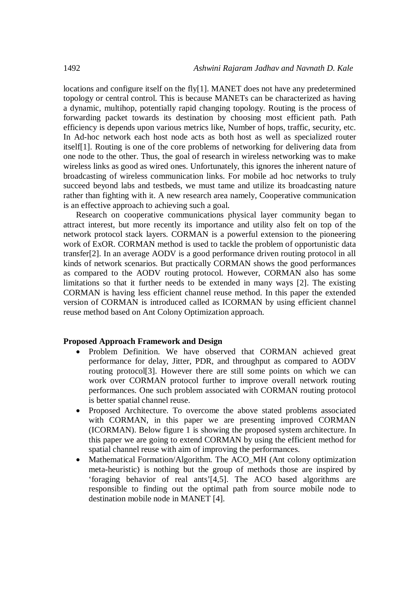locations and configure itself on the fly[1]. MANET does not have any predetermined topology or central control. This is because MANETs can be characterized as having a dynamic, multihop, potentially rapid changing topology. Routing is the process of forwarding packet towards its destination by choosing most efficient path. Path efficiency is depends upon various metrics like, Number of hops, traffic, security, etc. In Ad-hoc network each host node acts as both host as well as specialized router itself[1]. Routing is one of the core problems of networking for delivering data from one node to the other. Thus, the goal of research in wireless networking was to make wireless links as good as wired ones. Unfortunately, this ignores the inherent nature of broadcasting of wireless communication links. For mobile ad hoc networks to truly succeed beyond labs and testbeds, we must tame and utilize its broadcasting nature rather than fighting with it. A new research area namely, Cooperative communication is an effective approach to achieving such a goal.

Research on cooperative communications physical layer community began to attract interest, but more recently its importance and utility also felt on top of the network protocol stack layers. CORMAN is a powerful extension to the pioneering work of ExOR. CORMAN method is used to tackle the problem of opportunistic data transfer[2]. In an average AODV is a good performance driven routing protocol in all kinds of network scenarios. But practically CORMAN shows the good performances as compared to the AODV routing protocol. However, CORMAN also has some limitations so that it further needs to be extended in many ways [2]. The existing CORMAN is having less efficient channel reuse method. In this paper the extended version of CORMAN is introduced called as ICORMAN by using efficient channel reuse method based on Ant Colony Optimization approach.

#### **Proposed Approach Framework and Design**

- Problem Definition. We have observed that CORMAN achieved great performance for delay, Jitter, PDR, and throughput as compared to AODV routing protocol[3]. However there are still some points on which we can work over CORMAN protocol further to improve overall network routing performances. One such problem associated with CORMAN routing protocol is better spatial channel reuse.
- Proposed Architecture. To overcome the above stated problems associated with CORMAN, in this paper we are presenting improved CORMAN (ICORMAN). Below figure 1 is showing the proposed system architecture. In this paper we are going to extend CORMAN by using the efficient method for spatial channel reuse with aim of improving the performances.
- Mathematical Formation/Algorithm. The ACO\_MH (Ant colony optimization meta-heuristic) is nothing but the group of methods those are inspired by 'foraging behavior of real ants'[4,5]. The ACO based algorithms are responsible to finding out the optimal path from source mobile node to destination mobile node in MANET [4].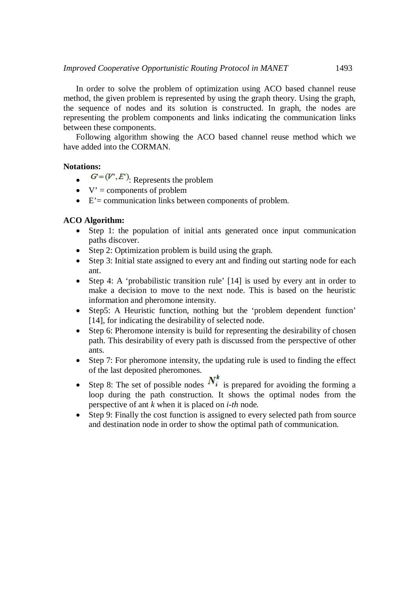In order to solve the problem of optimization using ACO based channel reuse method, the given problem is represented by using the graph theory. Using the graph, the sequence of nodes and its solution is constructed. In graph, the nodes are representing the problem components and links indicating the communication links between these components.

Following algorithm showing the ACO based channel reuse method which we have added into the CORMAN.

#### **Notations:**

- $G=(V', E')$ : Represents the problem
- $\bullet$  V' = components of problem
- $\bullet$   $E'$  = communication links between components of problem.

## **ACO Algorithm:**

- Step 1: the population of initial ants generated once input communication paths discover.
- Step 2: Optimization problem is build using the graph.
- Step 3: Initial state assigned to every ant and finding out starting node for each ant.
- Step 4: A 'probabilistic transition rule' [14] is used by every ant in order to make a decision to move to the next node. This is based on the heuristic information and pheromone intensity.
- Step5: A Heuristic function, nothing but the 'problem dependent function' [14], for indicating the desirability of selected node.
- Step 6: Pheromone intensity is build for representing the desirability of chosen path. This desirability of every path is discussed from the perspective of other ants.
- Step 7: For pheromone intensity, the updating rule is used to finding the effect of the last deposited pheromones.
- Step 8: The set of possible nodes  $N_i^k$  is prepared for avoiding the forming a loop during the path construction. It shows the optimal nodes from the perspective of ant *k* when it is placed on *i-th* node*.*
- Step 9: Finally the cost function is assigned to every selected path from source and destination node in order to show the optimal path of communication.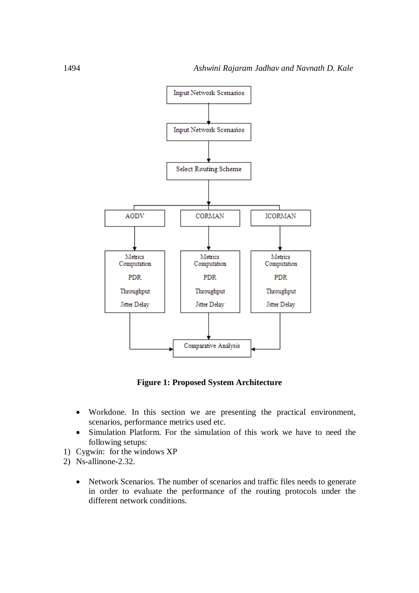

**Figure 1: Proposed System Architecture**

- Workdone. In this section we are presenting the practical environment, scenarios, performance metrics used etc.
- Simulation Platform. For the simulation of this work we have to need the following setups:
- 1) Cygwin: for the windows XP
- 2) Ns-allinone-2.32.
	- Network Scenarios. The number of scenarios and traffic files needs to generate in order to evaluate the performance of the routing protocols under the different network conditions.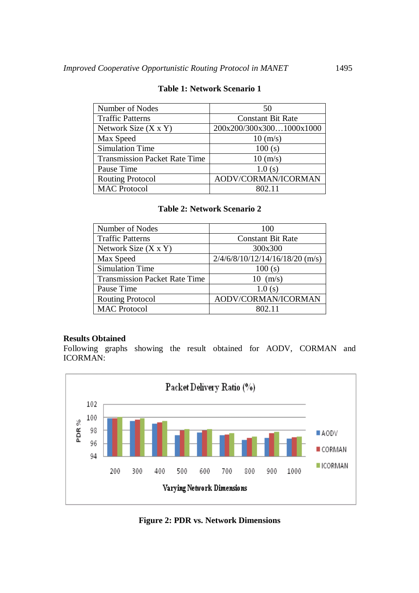| Number of Nodes                      | 50                       |
|--------------------------------------|--------------------------|
| <b>Traffic Patterns</b>              | <b>Constant Bit Rate</b> |
| Network Size $(X \times Y)$          | 200x200/300x3001000x1000 |
| Max Speed                            | $10 \; (m/s)$            |
| <b>Simulation Time</b>               | 100(s)                   |
| <b>Transmission Packet Rate Time</b> | $10 \, (m/s)$            |
| Pause Time                           | 1.0(s)                   |
| <b>Routing Protocol</b>              | AODV/CORMAN/ICORMAN      |
| <b>MAC Protocol</b>                  | 802.11                   |

#### **Table 1: Network Scenario 1**

# **Table 2: Network Scenario 2**

| Number of Nodes                      | 100                               |
|--------------------------------------|-----------------------------------|
| <b>Traffic Patterns</b>              | <b>Constant Bit Rate</b>          |
| Network Size $(X \times Y)$          | 300x300                           |
| Max Speed                            | $2/4/6/8/10/12/14/16/18/20$ (m/s) |
| <b>Simulation Time</b>               | 100(s)                            |
| <b>Transmission Packet Rate Time</b> | $10 \text{ (m/s)}$                |
| Pause Time                           | 1.0(s)                            |
| <b>Routing Protocol</b>              | AODV/CORMAN/ICORMAN               |
| <b>MAC Protocol</b>                  | 802.11                            |

## **Results Obtained**

Following graphs showing the result obtained for AODV, CORMAN and ICORMAN:



**Figure 2: PDR vs. Network Dimensions**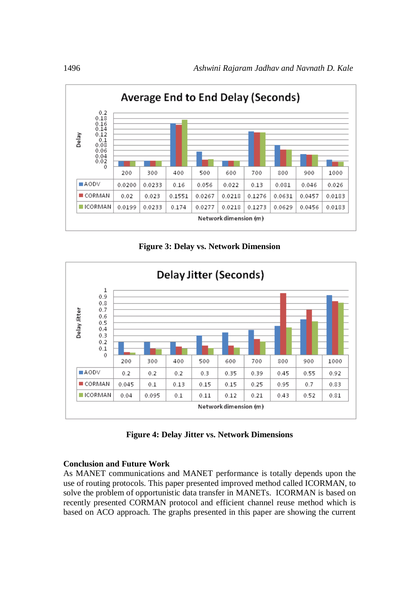

**Figure 3: Delay vs. Network Dimension**



**Figure 4: Delay Jitter vs. Network Dimensions**

# **Conclusion and Future Work**

As MANET communications and MANET performance is totally depends upon the use of routing protocols. This paper presented improved method called ICORMAN, to solve the problem of opportunistic data transfer in MANETs. ICORMAN is based on recently presented CORMAN protocol and efficient channel reuse method which is based on ACO approach. The graphs presented in this paper are showing the current